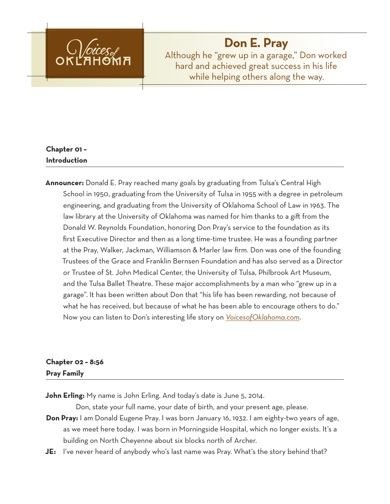

# **Don E. Pray**

Although he "grew up in a garage," Don worked hard and achieved great success in his life while helping others along the way.

# **Chapter 01 – Introduction**

**Announcer:** Donald E. Pray reached many goals by graduating from Tulsa's Central High School in 1950, graduating from the University of Tulsa in 1955 with a degree in petroleum engineering, and graduating from the University of Oklahoma School of Law in 1963. The law library at the University of Oklahoma was named for him thanks to a gift from the Donald W. Reynolds Foundation, honoring Don Pray's service to the foundation as its first Executive Director and then as a long time-time trustee. He was a founding partner at the Pray, Walker, Jackman, Williamson & Marler law firm. Don was one of the founding Trustees of the Grace and Franklin Bernsen Foundation and has also served as a Director or Trustee of St. John Medical Center, the University of Tulsa, Philbrook Art Museum, and the Tulsa Ballet Theatre. These major accomplishments by a man who "grew up in a garage". It has been written about Don that "his life has been rewarding, not because of what he has received, but because of what he has been able to encourage others to do." Now you can listen to Don's interesting life story on *VoicesofOklahoma.com*.

# **Chapter 02 – 8:56 Pray Family**

**John Erling:** My name is John Erling. And today's date is June 5, 2014.

Don, state your full name, your date of birth, and your present age, please.

- **Don Pray:** I am Donald Eugene Pray. I was born January 16, 1932. I am eighty-two years of age, as we meet here today. I was born in Morningside Hospital, which no longer exists. It's a building on North Cheyenne about six blocks north of Archer.
- **JE:** I've never heard of anybody who's last name was Pray. What's the story behind that?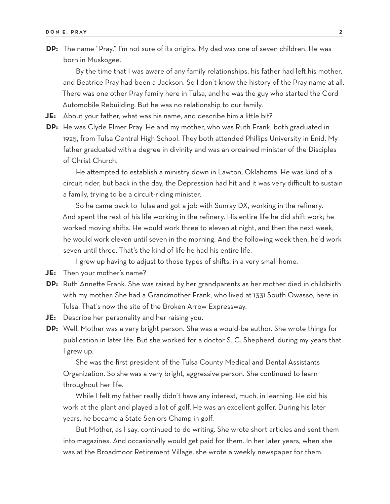**DP:** The name "Pray," I'm not sure of its origins. My dad was one of seven children. He was born in Muskogee.

By the time that I was aware of any family relationships, his father had left his mother, and Beatrice Pray had been a Jackson. So I don't know the history of the Pray name at all. There was one other Pray family here in Tulsa, and he was the guy who started the Cord Automobile Rebuilding. But he was no relationship to our family.

**JE:** About your father, what was his name, and describe him a little bit?

**DP:** He was Clyde Elmer Pray. He and my mother, who was Ruth Frank, both graduated in 1925, from Tulsa Central High School. They both attended Phillips University in Enid. My father graduated with a degree in divinity and was an ordained minister of the Disciples of Christ Church.

He attempted to establish a ministry down in Lawton, Oklahoma. He was kind of a circuit rider, but back in the day, the Depression had hit and it was very difficult to sustain a family, trying to be a circuit-riding minister.

So he came back to Tulsa and got a job with Sunray DX, working in the refinery. And spent the rest of his life working in the refinery. His entire life he did shift work; he worked moving shifts. He would work three to eleven at night, and then the next week, he would work eleven until seven in the morning. And the following week then, he'd work seven until three. That's the kind of life he had his entire life.

I grew up having to adjust to those types of shifts, in a very small home.

- **JE:** Then your mother's name?
- **DP:** Ruth Annette Frank. She was raised by her grandparents as her mother died in childbirth with my mother. She had a Grandmother Frank, who lived at 1331 South Owasso, here in Tulsa. That's now the site of the Broken Arrow Expressway.
- **JE:** Describe her personality and her raising you.
- **DP:** Well, Mother was a very bright person. She was a would-be author. She wrote things for publication in later life. But she worked for a doctor S. C. Shepherd, during my years that I grew up.

She was the first president of the Tulsa County Medical and Dental Assistants Organization. So she was a very bright, aggressive person. She continued to learn throughout her life.

While I felt my father really didn't have any interest, much, in learning. He did his work at the plant and played a lot of golf. He was an excellent golfer. During his later years, he became a State Seniors Champ in golf.

But Mother, as I say, continued to do writing. She wrote short articles and sent them into magazines. And occasionally would get paid for them. In her later years, when she was at the Broadmoor Retirement Village, she wrote a weekly newspaper for them.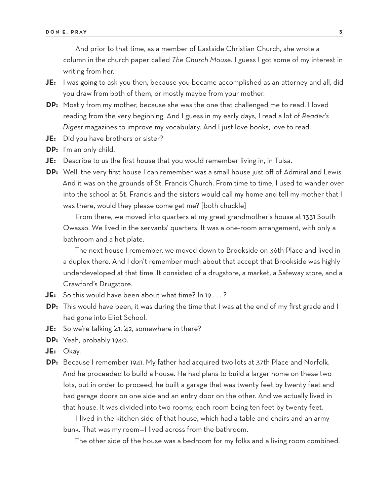And prior to that time, as a member of Eastside Christian Church, she wrote a column in the church paper called *The Church Mouse.* I guess I got some of my interest in writing from her.

- **JE:** I was going to ask you then, because you became accomplished as an attorney and all, did you draw from both of them, or mostly maybe from your mother.
- **DP:** Mostly from my mother, because she was the one that challenged me to read. I loved reading from the very beginning. And I guess in my early days, I read a lot of *Reader's Digest* magazines to improve my vocabulary. And I just love books, love to read.
- **JE:** Did you have brothers or sister?
- **DP:** I'm an only child.
- **JE:** Describe to us the first house that you would remember living in, in Tulsa.
- **DP:** Well, the very first house I can remember was a small house just off of Admiral and Lewis. And it was on the grounds of St. Francis Church. From time to time, I used to wander over into the school at St. Francis and the sisters would call my home and tell my mother that I was there, would they please come get me? [both chuckle]

From there, we moved into quarters at my great grandmother's house at 1331 South Owasso. We lived in the servants' quarters. It was a one-room arrangement, with only a bathroom and a hot plate.

The next house I remember, we moved down to Brookside on 36th Place and lived in a duplex there. And I don't remember much about that accept that Brookside was highly underdeveloped at that time. It consisted of a drugstore, a market, a Safeway store, and a Crawford's Drugstore.

**JE:** So this would have been about what time? In 19 . . . ?

- **DP:** This would have been, it was during the time that I was at the end of my first grade and I had gone into Eliot School.
- **JE:** So we're talking '41, '42, somewhere in there?
- **DP:** Yeah, probably 1940.
- **JE:** Okay.
- **DP:** Because I remember 1941. My father had acquired two lots at 37th Place and Norfolk. And he proceeded to build a house. He had plans to build a larger home on these two lots, but in order to proceed, he built a garage that was twenty feet by twenty feet and had garage doors on one side and an entry door on the other. And we actually lived in that house. It was divided into two rooms; each room being ten feet by twenty feet.

I lived in the kitchen side of that house, which had a table and chairs and an army bunk. That was my room—I lived across from the bathroom.

The other side of the house was a bedroom for my folks and a living room combined.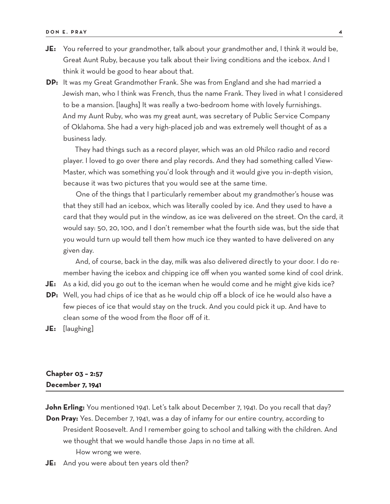- **JE:** You referred to your grandmother, talk about your grandmother and, I think it would be, Great Aunt Ruby, because you talk about their living conditions and the icebox. And I think it would be good to hear about that.
- **DP:** It was my Great Grandmother Frank. She was from England and she had married a Jewish man, who I think was French, thus the name Frank. They lived in what I considered to be a mansion. [laughs] It was really a two-bedroom home with lovely furnishings. And my Aunt Ruby, who was my great aunt, was secretary of Public Service Company of Oklahoma. She had a very high-placed job and was extremely well thought of as a business lady.

They had things such as a record player, which was an old Philco radio and record player. I loved to go over there and play records. And they had something called View-Master, which was something you'd look through and it would give you in-depth vision, because it was two pictures that you would see at the same time.

One of the things that I particularly remember about my grandmother's house was that they still had an icebox, which was literally cooled by ice. And they used to have a card that they would put in the window, as ice was delivered on the street. On the card, it would say: 50, 20, 100, and I don't remember what the fourth side was, but the side that you would turn up would tell them how much ice they wanted to have delivered on any given day.

And, of course, back in the day, milk was also delivered directly to your door. I do remember having the icebox and chipping ice off when you wanted some kind of cool drink.

**JE:** As a kid, did you go out to the iceman when he would come and he might give kids ice?

- **DP:** Well, you had chips of ice that as he would chip off a block of ice he would also have a few pieces of ice that would stay on the truck. And you could pick it up. And have to clean some of the wood from the floor off of it.
- **JE:** [laughing]

### **Chapter 03 – 2:57 December 7, 1941**

John Erling: You mentioned 1941. Let's talk about December 7, 1941. Do you recall that day? **Don Pray:** Yes. December 7, 1941, was a day of infamy for our entire country, according to President Roosevelt. And I remember going to school and talking with the children. And we thought that we would handle those Japs in no time at all. How wrong we were.

**JE:** And you were about ten years old then?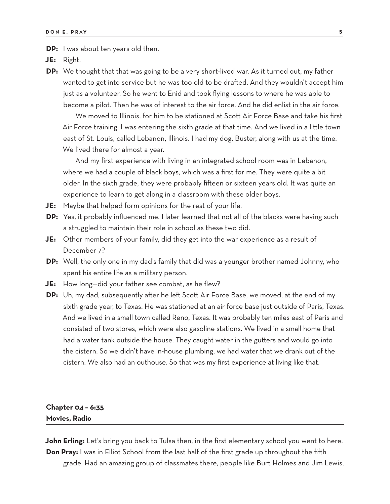**DP:** I was about ten years old then.

**JE:** Right.

**DP:** We thought that that was going to be a very short-lived war. As it turned out, my father wanted to get into service but he was too old to be drafted. And they wouldn't accept him just as a volunteer. So he went to Enid and took flying lessons to where he was able to become a pilot. Then he was of interest to the air force. And he did enlist in the air force.

We moved to Illinois, for him to be stationed at Scott Air Force Base and take his first Air Force training. I was entering the sixth grade at that time. And we lived in a little town east of St. Louis, called Lebanon, Illinois. I had my dog, Buster, along with us at the time. We lived there for almost a year.

And my first experience with living in an integrated school room was in Lebanon, where we had a couple of black boys, which was a first for me. They were quite a bit older. In the sixth grade, they were probably fifteen or sixteen years old. It was quite an experience to learn to get along in a classroom with these older boys.

- **JE:** Maybe that helped form opinions for the rest of your life.
- **DP:** Yes, it probably influenced me. I later learned that not all of the blacks were having such a struggled to maintain their role in school as these two did.
- **JE:** Other members of your family, did they get into the war experience as a result of December 7?
- **DP:** Well, the only one in my dad's family that did was a younger brother named Johnny, who spent his entire life as a military person.
- **JE:** How long—did your father see combat, as he flew?
- **DP:** Uh, my dad, subsequently after he left Scott Air Force Base, we moved, at the end of my sixth grade year, to Texas. He was stationed at an air force base just outside of Paris, Texas. And we lived in a small town called Reno, Texas. It was probably ten miles east of Paris and consisted of two stores, which were also gasoline stations. We lived in a small home that had a water tank outside the house. They caught water in the gutters and would go into the cistern. So we didn't have in-house plumbing, we had water that we drank out of the cistern. We also had an outhouse. So that was my first experience at living like that.

# **Chapter 04 – 6:35 Movies, Radio**

**John Erling:** Let's bring you back to Tulsa then, in the first elementary school you went to here. **Don Pray:** I was in Elliot School from the last half of the first grade up throughout the fifth grade. Had an amazing group of classmates there, people like Burt Holmes and Jim Lewis,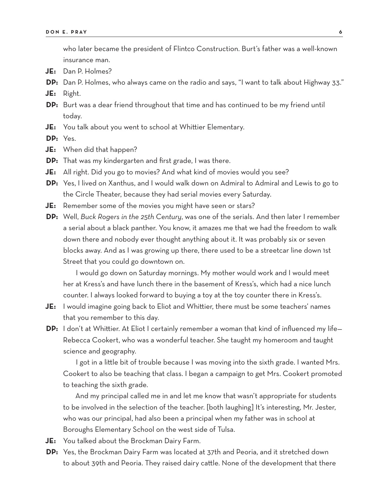who later became the president of Flintco Construction. Burt's father was a well-known insurance man.

- **JE:** Dan P. Holmes?
- **DP:** Dan P. Holmes, who always came on the radio and says, "I want to talk about Highway 33."
- **JE:** Right.
- **DP:** Burt was a dear friend throughout that time and has continued to be my friend until today.
- **JE:** You talk about you went to school at Whittier Elementary.

**DP:** Yes.

- **JE:** When did that happen?
- **DP:** That was my kindergarten and first grade, I was there.
- **JE:** All right. Did you go to movies? And what kind of movies would you see?
- **DP:** Yes, I lived on Xanthus, and I would walk down on Admiral to Admiral and Lewis to go to the Circle Theater, because they had serial movies every Saturday.
- **JE:** Remember some of the movies you might have seen or stars?
- **DP:** Well, *Buck Rogers in the 25th Century*, was one of the serials. And then later I remember a serial about a black panther. You know, it amazes me that we had the freedom to walk down there and nobody ever thought anything about it. It was probably six or seven blocks away. And as I was growing up there, there used to be a streetcar line down 1st Street that you could go downtown on.

I would go down on Saturday mornings. My mother would work and I would meet her at Kress's and have lunch there in the basement of Kress's, which had a nice lunch counter. I always looked forward to buying a toy at the toy counter there in Kress's.

- **JE:** I would imagine going back to Eliot and Whittier, there must be some teachers' names that you remember to this day.
- **DP:** I don't at Whittier. At Eliot I certainly remember a woman that kind of influenced my life-Rebecca Cookert, who was a wonderful teacher. She taught my homeroom and taught science and geography.

I got in a little bit of trouble because I was moving into the sixth grade. I wanted Mrs. Cookert to also be teaching that class. I began a campaign to get Mrs. Cookert promoted to teaching the sixth grade.

And my principal called me in and let me know that wasn't appropriate for students to be involved in the selection of the teacher. [both laughing] It's interesting, Mr. Jester, who was our principal, had also been a principal when my father was in school at Boroughs Elementary School on the west side of Tulsa.

- **JE:** You talked about the Brockman Dairy Farm.
- **DP:** Yes, the Brockman Dairy Farm was located at 37th and Peoria, and it stretched down to about 39th and Peoria. They raised dairy cattle. None of the development that there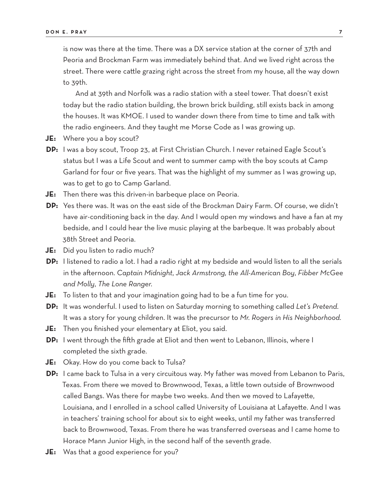is now was there at the time. There was a DX service station at the corner of 37th and Peoria and Brockman Farm was immediately behind that. And we lived right across the street. There were cattle grazing right across the street from my house, all the way down to 39th.

And at 39th and Norfolk was a radio station with a steel tower. That doesn't exist today but the radio station building, the brown brick building, still exists back in among the houses. It was KMOE. I used to wander down there from time to time and talk with the radio engineers. And they taught me Morse Code as I was growing up.

- **JE:** Where you a boy scout?
- **DP:** I was a boy scout, Troop 23, at First Christian Church. I never retained Eagle Scout's status but I was a Life Scout and went to summer camp with the boy scouts at Camp Garland for four or five years. That was the highlight of my summer as I was growing up, was to get to go to Camp Garland.
- **JE:** Then there was this driven-in barbeque place on Peoria.
- **DP:** Yes there was. It was on the east side of the Brockman Dairy Farm. Of course, we didn't have air-conditioning back in the day. And I would open my windows and have a fan at my bedside, and I could hear the live music playing at the barbeque. It was probably about 38th Street and Peoria.
- **JE:** Did you listen to radio much?
- **DP:** I listened to radio a lot. I had a radio right at my bedside and would listen to all the serials in the afternoon. *Captain Midnight*, *Jack Armstrong, the All-American Boy*, *Fibber McGee and Molly*, *The Lone Ranger*.
- **JE:** To listen to that and your imagination going had to be a fun time for you.
- **DP:** It was wonderful. I used to listen on Saturday morning to something called *Let's Pretend*. It was a story for young children. It was the precursor to *Mr. Rogers in His Neighborhood.*
- **JE:** Then you finished your elementary at Eliot, you said.
- **DP:** I went through the fifth grade at Eliot and then went to Lebanon, Illinois, where I completed the sixth grade.
- **JE:** Okay. How do you come back to Tulsa?
- **DP:** I came back to Tulsa in a very circuitous way. My father was moved from Lebanon to Paris, Texas. From there we moved to Brownwood, Texas, a little town outside of Brownwood called Bangs. Was there for maybe two weeks. And then we moved to Lafayette, Louisiana, and I enrolled in a school called University of Louisiana at Lafayette. And I was in teachers' training school for about six to eight weeks, until my father was transferred back to Brownwood, Texas. From there he was transferred overseas and I came home to Horace Mann Junior High, in the second half of the seventh grade.
- **JE:** Was that a good experience for you?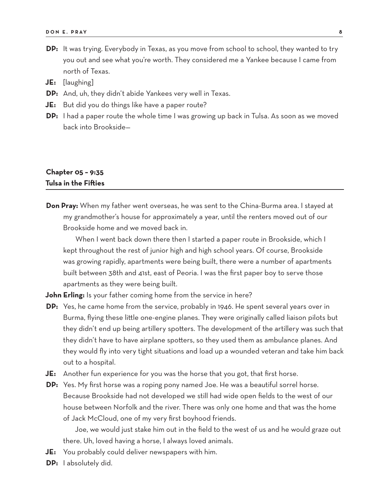- **DP:** It was trying. Everybody in Texas, as you move from school to school, they wanted to try you out and see what you're worth. They considered me a Yankee because I came from north of Texas.
- **JE:** [laughing]
- **DP:** And, uh, they didn't abide Yankees very well in Texas.
- **JE:** But did you do things like have a paper route?
- **DP:** I had a paper route the whole time I was growing up back in Tulsa. As soon as we moved back into Brookside—

# **Chapter 05 – 9:35 Tulsa in the Fifties**

**Don Pray:** When my father went overseas, he was sent to the China-Burma area. I stayed at my grandmother's house for approximately a year, until the renters moved out of our Brookside home and we moved back in.

When I went back down there then I started a paper route in Brookside, which I kept throughout the rest of junior high and high school years. Of course, Brookside was growing rapidly, apartments were being built, there were a number of apartments built between 38th and 41st, east of Peoria. I was the first paper boy to serve those apartments as they were being built.

**John Erling:** Is your father coming home from the service in here?

- **DP:** Yes, he came home from the service, probably in 1946. He spent several years over in Burma, flying these little one-engine planes. They were originally called liaison pilots but they didn't end up being artillery spotters. The development of the artillery was such that they didn't have to have airplane spotters, so they used them as ambulance planes. And they would fly into very tight situations and load up a wounded veteran and take him back out to a hospital.
- **JE:** Another fun experience for you was the horse that you got, that first horse.
- **DP:** Yes. My first horse was a roping pony named Joe. He was a beautiful sorrel horse. Because Brookside had not developed we still had wide open fields to the west of our house between Norfolk and the river. There was only one home and that was the home of Jack McCloud, one of my very first boyhood friends.

Joe, we would just stake him out in the field to the west of us and he would graze out there. Uh, loved having a horse, I always loved animals.

- **JE:** You probably could deliver newspapers with him.
- **DP:** I absolutely did.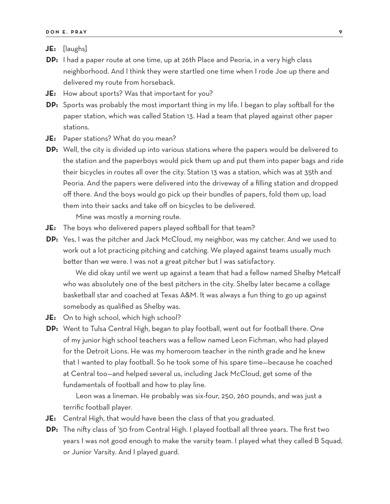- **JE:** [laughs]
- **DP:** I had a paper route at one time, up at 26th Place and Peoria, in a very high class neighborhood. And I think they were startled one time when I rode Joe up there and delivered my route from horseback.
- **JE:** How about sports? Was that important for you?
- **DP:** Sports was probably the most important thing in my life. I began to play softball for the paper station, which was called Station 13. Had a team that played against other paper stations.
- **JE:** Paper stations? What do you mean?
- **DP:** Well, the city is divided up into various stations where the papers would be delivered to the station and the paperboys would pick them up and put them into paper bags and ride their bicycles in routes all over the city. Station 13 was a station, which was at 35th and Peoria. And the papers were delivered into the driveway of a filling station and dropped off there. And the boys would go pick up their bundles of papers, fold them up, load them into their sacks and take off on bicycles to be delivered.

Mine was mostly a morning route.

- **JE:** The boys who delivered papers played softball for that team?
- **DP:** Yes, I was the pitcher and Jack McCloud, my neighbor, was my catcher. And we used to work out a lot practicing pitching and catching. We played against teams usually much better than we were. I was not a great pitcher but I was satisfactory.

We did okay until we went up against a team that had a fellow named Shelby Metcalf who was absolutely one of the best pitchers in the city. Shelby later became a collage basketball star and coached at Texas A&M. It was always a fun thing to go up against somebody as qualified as Shelby was.

- **JE:** On to high school, which high school?
- **DP:** Went to Tulsa Central High, began to play football, went out for football there. One of my junior high school teachers was a fellow named Leon Fichman, who had played for the Detroit Lions. He was my homeroom teacher in the ninth grade and he knew that I wanted to play football. So he took some of his spare time—because he coached at Central too—and helped several us, including Jack McCloud, get some of the fundamentals of football and how to play line.

Leon was a lineman. He probably was six-four, 250, 260 pounds, and was just a terrific football player.

- **JE:** Central High, that would have been the class of that you graduated.
- **DP:** The nifty class of '50 from Central High. I played football all three years. The first two years I was not good enough to make the varsity team. I played what they called B Squad, or Junior Varsity. And I played guard.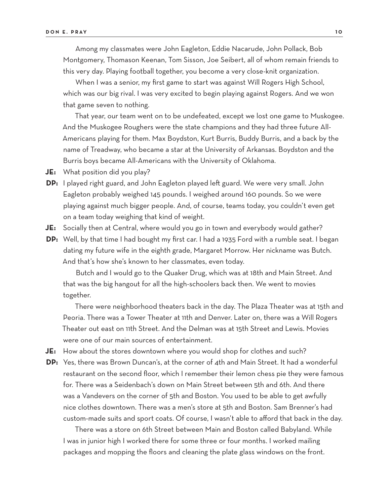Among my classmates were John Eagleton, Eddie Nacarude, John Pollack, Bob Montgomery, Thomason Keenan, Tom Sisson, Joe Seibert, all of whom remain friends to this very day. Playing football together, you become a very close-knit organization.

When I was a senior, my first game to start was against Will Rogers High School, which was our big rival. I was very excited to begin playing against Rogers. And we won that game seven to nothing.

That year, our team went on to be undefeated, except we lost one game to Muskogee. And the Muskogee Roughers were the state champions and they had three future All-Americans playing for them. Max Boydston, Kurt Burris, Buddy Burris, and a back by the name of Treadway, who became a star at the University of Arkansas. Boydston and the Burris boys became All-Americans with the University of Oklahoma.

- **JE:** What position did you play?
- **DP:** I played right guard, and John Eagleton played left guard. We were very small. John Eagleton probably weighed 145 pounds. I weighed around 160 pounds. So we were playing against much bigger people. And, of course, teams today, you couldn't even get on a team today weighing that kind of weight.
- **JE:** Socially then at Central, where would you go in town and everybody would gather?
- **DP:** Well, by that time I had bought my first car. I had a 1935 Ford with a rumble seat. I began dating my future wife in the eighth grade, Margaret Morrow. Her nickname was Butch. And that's how she's known to her classmates, even today.

Butch and I would go to the Quaker Drug, which was at 18th and Main Street. And that was the big hangout for all the high-schoolers back then. We went to movies together.

There were neighborhood theaters back in the day. The Plaza Theater was at 15th and Peoria. There was a Tower Theater at 11th and Denver. Later on, there was a Will Rogers Theater out east on 11th Street. And the Delman was at 15th Street and Lewis. Movies were one of our main sources of entertainment.

- **JE:** How about the stores downtown where you would shop for clothes and such?
- **DP:** Yes, there was Brown Duncan's, at the corner of 4th and Main Street. It had a wonderful restaurant on the second floor, which I remember their lemon chess pie they were famous for. There was a Seidenbach's down on Main Street between 5th and 6th. And there was a Vandevers on the corner of 5th and Boston. You used to be able to get awfully nice clothes downtown. There was a men's store at 5th and Boston. Sam Brenner's had custom-made suits and sport coats. Of course, I wasn't able to afford that back in the day.

There was a store on 6th Street between Main and Boston called Babyland. While I was in junior high I worked there for some three or four months. I worked mailing packages and mopping the floors and cleaning the plate glass windows on the front.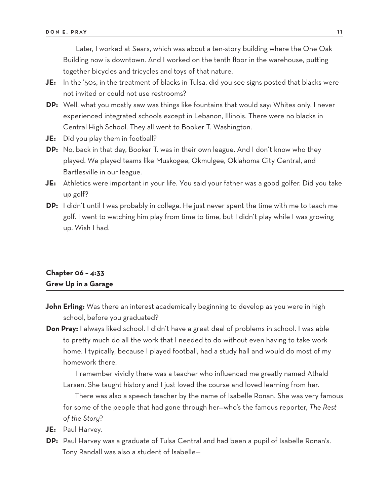Later, I worked at Sears, which was about a ten-story building where the One Oak Building now is downtown. And I worked on the tenth floor in the warehouse, putting together bicycles and tricycles and toys of that nature.

- **JE:** In the '50s, in the treatment of blacks in Tulsa, did you see signs posted that blacks were not invited or could not use restrooms?
- **DP:** Well, what you mostly saw was things like fountains that would say: Whites only. I never experienced integrated schools except in Lebanon, Illinois. There were no blacks in Central High School. They all went to Booker T. Washington.
- **JE:** Did you play them in football?
- **DP:** No, back in that day, Booker T. was in their own league. And I don't know who they played. We played teams like Muskogee, Okmulgee, Oklahoma City Central, and Bartlesville in our league.
- **JE:** Athletics were important in your life. You said your father was a good golfer. Did you take up golf?
- **DP:** I didn't until I was probably in college. He just never spent the time with me to teach me golf. I went to watching him play from time to time, but I didn't play while I was growing up. Wish I had.

## **Chapter 06 – 4:33 Grew Up in a Garage**

- **John Erling:** Was there an interest academically beginning to develop as you were in high school, before you graduated?
- **Don Pray:** I always liked school. I didn't have a great deal of problems in school. I was able to pretty much do all the work that I needed to do without even having to take work home. I typically, because I played football, had a study hall and would do most of my homework there.

I remember vividly there was a teacher who influenced me greatly named Athald Larsen. She taught history and I just loved the course and loved learning from her.

There was also a speech teacher by the name of Isabelle Ronan. She was very famous for some of the people that had gone through her—who's the famous reporter, *The Rest of the Story*?

- **JE:** Paul Harvey.
- **DP:** Paul Harvey was a graduate of Tulsa Central and had been a pupil of Isabelle Ronan's. Tony Randall was also a student of Isabelle—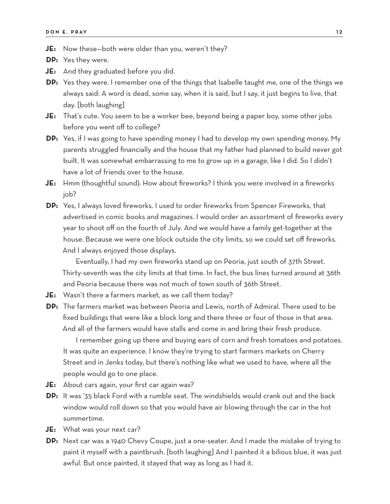- **JE:** Now these—both were older than you, weren't they?
- **DP:** Yes they were.
- **JE:** And they graduated before you did.
- **DP:** Yes they were. I remember one of the things that Isabelle taught me, one of the things we always said: A word is dead, some say, when it is said, but I say, it just begins to live, that day. [both laughing]
- **JE:** That's cute. You seem to be a worker bee, beyond being a paper boy, some other jobs before you went off to college?
- **DP:** Yes, if I was going to have spending money I had to develop my own spending money. My parents struggled financially and the house that my father had planned to build never got built. It was somewhat embarrassing to me to grow up in a garage, like I did. So I didn't have a lot of friends over to the house.
- **JE:** Hmm (thoughtful sound). How about fireworks? I think you were involved in a fireworks job?
- **DP:** Yes, I always loved fireworks. I used to order fireworks from Spencer Fireworks, that advertised in comic books and magazines. I would order an assortment of fireworks every year to shoot off on the fourth of July. And we would have a family get-together at the house. Because we were one block outside the city limits, so we could set off fireworks. And I always enjoyed those displays.

Eventually, I had my own fireworks stand up on Peoria, just south of 37th Street. Thirty-seventh was the city limits at that time. In fact, the bus lines turned around at 36th and Peoria because there was not much of town south of 36th Street.

- **JE:** Wasn't there a farmers market, as we call them today?
- **DP:** The farmers market was between Peoria and Lewis, north of Admiral. There used to be fixed buildings that were like a block long and there three or four of those in that area. And all of the farmers would have stalls and come in and bring their fresh produce.

I remember going up there and buying ears of corn and fresh tomatoes and potatoes. It was quite an experience. I know they're trying to start farmers markets on Cherry Street and in Jenks today, but there's nothing like what we used to have, where all the people would go to one place.

- **JE:** About cars again, your first car again was?
- **DP:** It was '35 black Ford with a rumble seat. The windshields would crank out and the back window would roll down so that you would have air blowing through the car in the hot summertime.
- **JE:** What was your next car?
- **DP:** Next car was a 1940 Chevy Coupe, just a one-seater. And I made the mistake of trying to paint it myself with a paintbrush. [both laughing] And I painted it a bilious blue, it was just awful. But once painted, it stayed that way as long as I had it.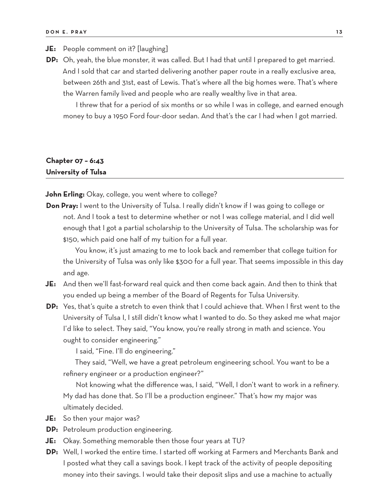#### **JE:** People comment on it? [laughing]

**DP:** Oh, yeah, the blue monster, it was called. But I had that until I prepared to get married. And I sold that car and started delivering another paper route in a really exclusive area, between 26th and 31st, east of Lewis. That's where all the big homes were. That's where the Warren family lived and people who are really wealthy live in that area.

I threw that for a period of six months or so while I was in college, and earned enough money to buy a 1950 Ford four-door sedan. And that's the car I had when I got married.

# **Chapter 07 – 6:43 University of Tulsa**

**John Erling:** Okay, college, you went where to college?

**Don Pray:** I went to the University of Tulsa. I really didn't know if I was going to college or not. And I took a test to determine whether or not I was college material, and I did well enough that I got a partial scholarship to the University of Tulsa. The scholarship was for \$150, which paid one half of my tuition for a full year.

You know, it's just amazing to me to look back and remember that college tuition for the University of Tulsa was only like \$300 for a full year. That seems impossible in this day and age.

- **JE:** And then we'll fast-forward real quick and then come back again. And then to think that you ended up being a member of the Board of Regents for Tulsa University.
- **DP:** Yes, that's quite a stretch to even think that I could achieve that. When I first went to the University of Tulsa I, I still didn't know what I wanted to do. So they asked me what major I'd like to select. They said, "You know, you're really strong in math and science. You ought to consider engineering."

I said, "Fine. I'll do engineering."

They said, "Well, we have a great petroleum engineering school. You want to be a refinery engineer or a production engineer?"

Not knowing what the difference was, I said, "Well, I don't want to work in a refinery. My dad has done that. So I'll be a production engineer." That's how my major was ultimately decided.

- **JE:** So then your major was?
- **DP:** Petroleum production engineering.
- **JE:** Okay. Something memorable then those four years at TU?
- **DP:** Well, I worked the entire time. I started off working at Farmers and Merchants Bank and I posted what they call a savings book. I kept track of the activity of people depositing money into their savings. I would take their deposit slips and use a machine to actually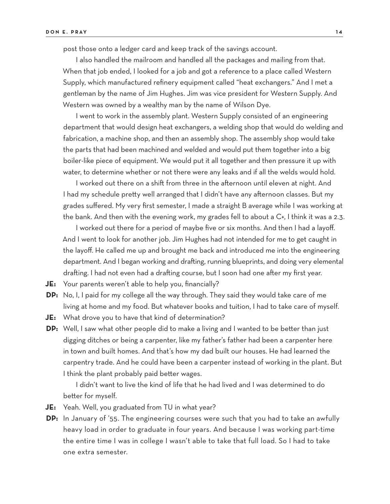post those onto a ledger card and keep track of the savings account.

I also handled the mailroom and handled all the packages and mailing from that. When that job ended, I looked for a job and got a reference to a place called Western Supply, which manufactured refinery equipment called "heat exchangers." And I met a gentleman by the name of Jim Hughes. Jim was vice president for Western Supply. And Western was owned by a wealthy man by the name of Wilson Dye.

I went to work in the assembly plant. Western Supply consisted of an engineering department that would design heat exchangers, a welding shop that would do welding and fabrication, a machine shop, and then an assembly shop. The assembly shop would take the parts that had been machined and welded and would put them together into a big boiler-like piece of equipment. We would put it all together and then pressure it up with water, to determine whether or not there were any leaks and if all the welds would hold.

I worked out there on a shift from three in the afternoon until eleven at night. And I had my schedule pretty well arranged that I didn't have any afternoon classes. But my grades suffered. My very first semester, I made a straight B average while I was working at the bank. And then with the evening work, my grades fell to about a C+, I think it was a 2.3.

I worked out there for a period of maybe five or six months. And then I had a layoff. And I went to look for another job. Jim Hughes had not intended for me to get caught in the layoff. He called me up and brought me back and introduced me into the engineering department. And I began working and drafting, running blueprints, and doing very elemental drafting. I had not even had a drafting course, but I soon had one after my first year.

**JE:** Your parents weren't able to help you, financially?

- **DP:** No, I, I paid for my college all the way through. They said they would take care of me living at home and my food. But whatever books and tuition, I had to take care of myself.
- **JE:** What drove you to have that kind of determination?
- **DP:** Well, I saw what other people did to make a living and I wanted to be better than just digging ditches or being a carpenter, like my father's father had been a carpenter here in town and built homes. And that's how my dad built our houses. He had learned the carpentry trade. And he could have been a carpenter instead of working in the plant. But I think the plant probably paid better wages.

I didn't want to live the kind of life that he had lived and I was determined to do better for myself.

- **JE:** Yeah. Well, you graduated from TU in what year?
- **DP:** In January of '55. The engineering courses were such that you had to take an awfully heavy load in order to graduate in four years. And because I was working part-time the entire time I was in college I wasn't able to take that full load. So I had to take one extra semester.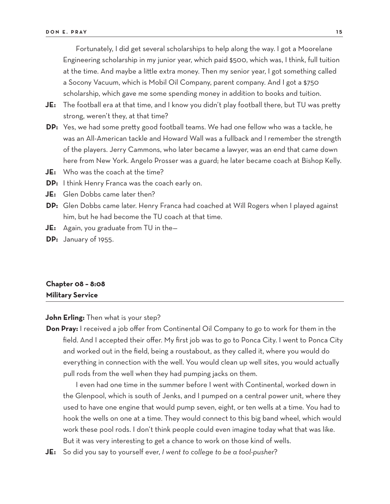Fortunately, I did get several scholarships to help along the way. I got a Moorelane Engineering scholarship in my junior year, which paid \$500, which was, I think, full tuition at the time. And maybe a little extra money. Then my senior year, I got something called a Socony Vacuum, which is Mobil Oil Company, parent company. And I got a \$750 scholarship, which gave me some spending money in addition to books and tuition.

- **JE:** The football era at that time, and I know you didn't play football there, but TU was pretty strong, weren't they, at that time?
- **DP:** Yes, we had some pretty good football teams. We had one fellow who was a tackle, he was an All-American tackle and Howard Wall was a fullback and I remember the strength of the players. Jerry Cammons, who later became a lawyer, was an end that came down here from New York. Angelo Prosser was a guard; he later became coach at Bishop Kelly.
- **JE:** Who was the coach at the time?
- **DP:** I think Henry Franca was the coach early on.
- **JE:** Glen Dobbs came later then?
- **DP:** Glen Dobbs came later. Henry Franca had coached at Will Rogers when I played against him, but he had become the TU coach at that time.
- **JE:** Again, you graduate from TU in the—
- **DP:** January of 1955.

### **Chapter 08 – 8:08 Military Service**

#### **John Erling:** Then what is your step?

**Don Pray:** I received a job offer from Continental Oil Company to go to work for them in the field. And I accepted their offer. My first job was to go to Ponca City. I went to Ponca City and worked out in the field, being a roustabout, as they called it, where you would do everything in connection with the well. You would clean up well sites, you would actually pull rods from the well when they had pumping jacks on them.

I even had one time in the summer before I went with Continental, worked down in the Glenpool, which is south of Jenks, and I pumped on a central power unit, where they used to have one engine that would pump seven, eight, or ten wells at a time. You had to hook the wells on one at a time. They would connect to this big band wheel, which would work these pool rods. I don't think people could even imagine today what that was like. But it was very interesting to get a chance to work on those kind of wells.

**JE:** So did you say to yourself ever, *I went to college to be a tool-pusher*?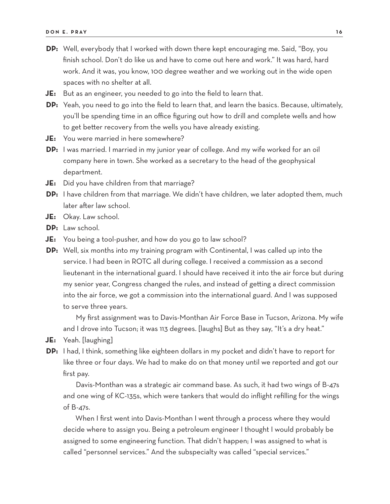- **DP:** Well, everybody that I worked with down there kept encouraging me. Said, "Boy, you finish school. Don't do like us and have to come out here and work." It was hard, hard work. And it was, you know, 100 degree weather and we working out in the wide open spaces with no shelter at all.
- **JE:** But as an engineer, you needed to go into the field to learn that.
- **DP:** Yeah, you need to go into the field to learn that, and learn the basics. Because, ultimately, you'll be spending time in an office figuring out how to drill and complete wells and how to get better recovery from the wells you have already existing.
- **JE:** You were married in here somewhere?
- **DP:** I was married. I married in my junior year of college. And my wife worked for an oil company here in town. She worked as a secretary to the head of the geophysical department.
- **JE:** Did you have children from that marriage?
- **DP:** I have children from that marriage. We didn't have children, we later adopted them, much later after law school.
- **JE:** Okay. Law school.
- **DP:** Law school.
- **JE:** You being a tool-pusher, and how do you go to law school?
- **DP:** Well, six months into my training program with Continental, I was called up into the service. I had been in ROTC all during college. I received a commission as a second lieutenant in the international guard. I should have received it into the air force but during my senior year, Congress changed the rules, and instead of getting a direct commission into the air force, we got a commission into the international guard. And I was supposed to serve three years.

My first assignment was to Davis-Monthan Air Force Base in Tucson, Arizona. My wife and I drove into Tucson; it was 113 degrees. [laughs] But as they say, "It's a dry heat."

- **JE:** Yeah. [laughing]
- **DP:** I had, I think, something like eighteen dollars in my pocket and didn't have to report for like three or four days. We had to make do on that money until we reported and got our first pay.

Davis-Monthan was a strategic air command base. As such, it had two wings of B-47s and one wing of KC-135s, which were tankers that would do inflight refilling for the wings of B-47s.

When I first went into Davis-Monthan I went through a process where they would decide where to assign you. Being a petroleum engineer I thought I would probably be assigned to some engineering function. That didn't happen; I was assigned to what is called "personnel services." And the subspecialty was called "special services."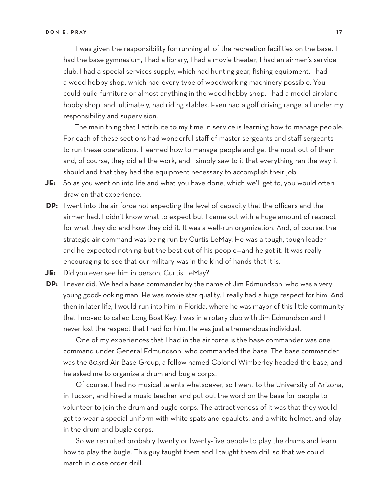I was given the responsibility for running all of the recreation facilities on the base. I had the base gymnasium, I had a library, I had a movie theater, I had an airmen's service club. I had a special services supply, which had hunting gear, fishing equipment. I had a wood hobby shop, which had every type of woodworking machinery possible. You could build furniture or almost anything in the wood hobby shop. I had a model airplane hobby shop, and, ultimately, had riding stables. Even had a golf driving range, all under my responsibility and supervision.

The main thing that I attribute to my time in service is learning how to manage people. For each of these sections had wonderful staff of master sergeants and staff sergeants to run these operations. I learned how to manage people and get the most out of them and, of course, they did all the work, and I simply saw to it that everything ran the way it should and that they had the equipment necessary to accomplish their job.

- **JE:** So as you went on into life and what you have done, which we'll get to, you would often draw on that experience.
- **DP:** I went into the air force not expecting the level of capacity that the officers and the airmen had. I didn't know what to expect but I came out with a huge amount of respect for what they did and how they did it. It was a well-run organization. And, of course, the strategic air command was being run by Curtis LeMay. He was a tough, tough leader and he expected nothing but the best out of his people—and he got it. It was really encouraging to see that our military was in the kind of hands that it is.
- **JE:** Did you ever see him in person, Curtis LeMay?
- **DP:** I never did. We had a base commander by the name of Jim Edmundson, who was a very young good-looking man. He was movie star quality. I really had a huge respect for him. And then in later life, I would run into him in Florida, where he was mayor of this little community that I moved to called Long Boat Key. I was in a rotary club with Jim Edmundson and I never lost the respect that I had for him. He was just a tremendous individual.

One of my experiences that I had in the air force is the base commander was one command under General Edmundson, who commanded the base. The base commander was the 803rd Air Base Group, a fellow named Colonel Wimberley headed the base, and he asked me to organize a drum and bugle corps.

Of course, I had no musical talents whatsoever, so I went to the University of Arizona, in Tucson, and hired a music teacher and put out the word on the base for people to volunteer to join the drum and bugle corps. The attractiveness of it was that they would get to wear a special uniform with white spats and epaulets, and a white helmet, and play in the drum and bugle corps.

So we recruited probably twenty or twenty-five people to play the drums and learn how to play the bugle. This guy taught them and I taught them drill so that we could march in close order drill.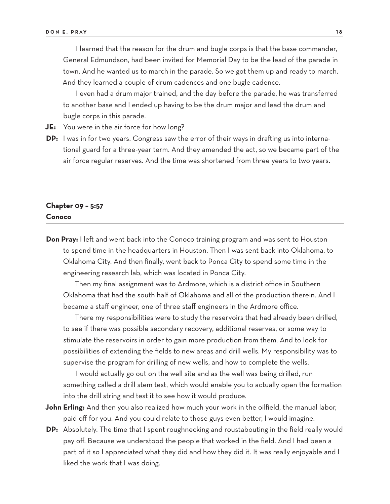I learned that the reason for the drum and bugle corps is that the base commander, General Edmundson, had been invited for Memorial Day to be the lead of the parade in town. And he wanted us to march in the parade. So we got them up and ready to march. And they learned a couple of drum cadences and one bugle cadence.

I even had a drum major trained, and the day before the parade, he was transferred to another base and I ended up having to be the drum major and lead the drum and bugle corps in this parade.

- **JE:** You were in the air force for how long?
- **DP:** I was in for two years. Congress saw the error of their ways in drafting us into international guard for a three-year term. And they amended the act, so we became part of the air force regular reserves. And the time was shortened from three years to two years.

### **Chapter 09 – 5:57 Conoco**

**Don Pray:** I left and went back into the Conoco training program and was sent to Houston to spend time in the headquarters in Houston. Then I was sent back into Oklahoma, to Oklahoma City. And then finally, went back to Ponca City to spend some time in the engineering research lab, which was located in Ponca City.

Then my final assignment was to Ardmore, which is a district office in Southern Oklahoma that had the south half of Oklahoma and all of the production therein. And I became a staff engineer, one of three staff engineers in the Ardmore office.

There my responsibilities were to study the reservoirs that had already been drilled, to see if there was possible secondary recovery, additional reserves, or some way to stimulate the reservoirs in order to gain more production from them. And to look for possibilities of extending the fields to new areas and drill wells. My responsibility was to supervise the program for drilling of new wells, and how to complete the wells.

I would actually go out on the well site and as the well was being drilled, run something called a drill stem test, which would enable you to actually open the formation into the drill string and test it to see how it would produce.

- **John Erling:** And then you also realized how much your work in the oilfield, the manual labor, paid off for you. And you could relate to those guys even better, I would imagine.
- **DP:** Absolutely. The time that I spent roughnecking and roustabouting in the field really would pay off. Because we understood the people that worked in the field. And I had been a part of it so I appreciated what they did and how they did it. It was really enjoyable and I liked the work that I was doing.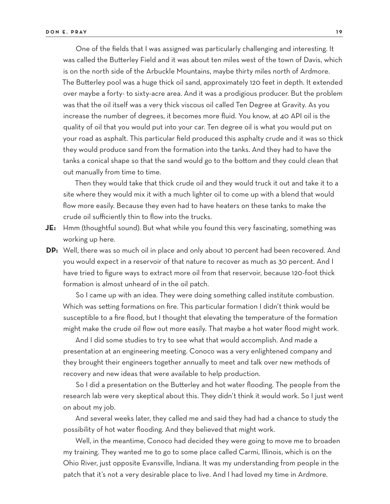One of the fields that I was assigned was particularly challenging and interesting. It was called the Butterley Field and it was about ten miles west of the town of Davis, which is on the north side of the Arbuckle Mountains, maybe thirty miles north of Ardmore. The Butterley pool was a huge thick oil sand, approximately 120 feet in depth. It extended over maybe a forty- to sixty-acre area. And it was a prodigious producer. But the problem was that the oil itself was a very thick viscous oil called Ten Degree at Gravity. As you increase the number of degrees, it becomes more fluid. You know, at 40 API oil is the quality of oil that you would put into your car. Ten degree oil is what you would put on your road as asphalt. This particular field produced this asphalty crude and it was so thick they would produce sand from the formation into the tanks. And they had to have the tanks a conical shape so that the sand would go to the bottom and they could clean that out manually from time to time.

Then they would take that thick crude oil and they would truck it out and take it to a site where they would mix it with a much lighter oil to come up with a blend that would flow more easily. Because they even had to have heaters on these tanks to make the crude oil sufficiently thin to flow into the trucks.

- **JE:** Hmm (thoughtful sound). But what while you found this very fascinating, something was working up here.
- **DP:** Well, there was so much oil in place and only about 10 percent had been recovered. And you would expect in a reservoir of that nature to recover as much as 30 percent. And I have tried to figure ways to extract more oil from that reservoir, because 120-foot thick formation is almost unheard of in the oil patch.

So I came up with an idea. They were doing something called institute combustion. Which was setting formations on fire. This particular formation I didn't think would be susceptible to a fire flood, but I thought that elevating the temperature of the formation might make the crude oil flow out more easily. That maybe a hot water flood might work.

And I did some studies to try to see what that would accomplish. And made a presentation at an engineering meeting. Conoco was a very enlightened company and they brought their engineers together annually to meet and talk over new methods of recovery and new ideas that were available to help production.

So I did a presentation on the Butterley and hot water flooding. The people from the research lab were very skeptical about this. They didn't think it would work. So I just went on about my job.

And several weeks later, they called me and said they had had a chance to study the possibility of hot water flooding. And they believed that might work.

Well, in the meantime, Conoco had decided they were going to move me to broaden my training. They wanted me to go to some place called Carmi, Illinois, which is on the Ohio River, just opposite Evansville, Indiana. It was my understanding from people in the patch that it's not a very desirable place to live. And I had loved my time in Ardmore.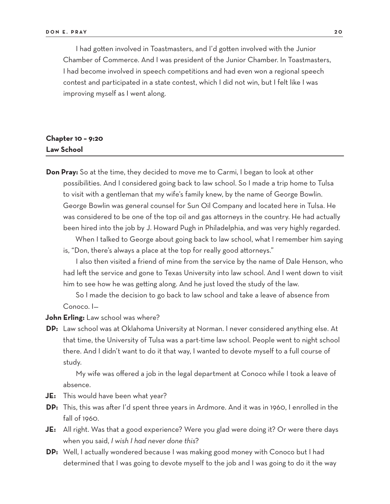I had gotten involved in Toastmasters, and I'd gotten involved with the Junior Chamber of Commerce. And I was president of the Junior Chamber. In Toastmasters, I had become involved in speech competitions and had even won a regional speech contest and participated in a state contest, which I did not win, but I felt like I was improving myself as I went along.

# **Chapter 10 – 9:20 Law School**

**Don Pray:** So at the time, they decided to move me to Carmi, I began to look at other possibilities. And I considered going back to law school. So I made a trip home to Tulsa to visit with a gentleman that my wife's family knew, by the name of George Bowlin. George Bowlin was general counsel for Sun Oil Company and located here in Tulsa. He was considered to be one of the top oil and gas attorneys in the country. He had actually been hired into the job by J. Howard Pugh in Philadelphia, and was very highly regarded.

When I talked to George about going back to law school, what I remember him saying is, "Don, there's always a place at the top for really good attorneys."

I also then visited a friend of mine from the service by the name of Dale Henson, who had left the service and gone to Texas University into law school. And I went down to visit him to see how he was getting along. And he just loved the study of the law.

So I made the decision to go back to law school and take a leave of absence from Conoco. I—

**John Erling:** Law school was where?

**DP:** Law school was at Oklahoma University at Norman. I never considered anything else. At that time, the University of Tulsa was a part-time law school. People went to night school there. And I didn't want to do it that way, I wanted to devote myself to a full course of study.

My wife was offered a job in the legal department at Conoco while I took a leave of absence.

- **JE:** This would have been what year?
- **DP:** This, this was after I'd spent three years in Ardmore. And it was in 1960, I enrolled in the fall of 1960.
- **JE:** All right. Was that a good experience? Were you glad were doing it? Or were there days when you said, *I wish I had never done this*?
- **DP:** Well, I actually wondered because I was making good money with Conoco but I had determined that I was going to devote myself to the job and I was going to do it the way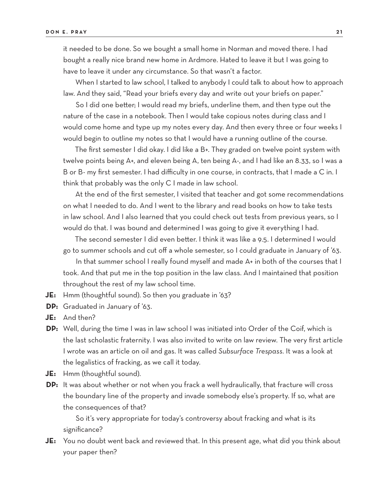it needed to be done. So we bought a small home in Norman and moved there. I had bought a really nice brand new home in Ardmore. Hated to leave it but I was going to have to leave it under any circumstance. So that wasn't a factor.

When I started to law school, I talked to anybody I could talk to about how to approach law. And they said, "Read your briefs every day and write out your briefs on paper."

So I did one better; I would read my briefs, underline them, and then type out the nature of the case in a notebook. Then I would take copious notes during class and I would come home and type up my notes every day. And then every three or four weeks I would begin to outline my notes so that I would have a running outline of the course.

The first semester I did okay. I did like a B+. They graded on twelve point system with twelve points being A+, and eleven being A, ten being A-, and I had like an 8.33, so I was a B or B- my first semester. I had difficulty in one course, in contracts, that I made a C in. I think that probably was the only C I made in law school.

At the end of the first semester, I visited that teacher and got some recommendations on what I needed to do. And I went to the library and read books on how to take tests in law school. And I also learned that you could check out tests from previous years, so I would do that. I was bound and determined I was going to give it everything I had.

The second semester I did even better. I think it was like a 9.5. I determined I would go to summer schools and cut off a whole semester, so I could graduate in January of '63.

In that summer school I really found myself and made A+ in both of the courses that I took. And that put me in the top position in the law class. And I maintained that position throughout the rest of my law school time.

- **JE:** Hmm (thoughtful sound). So then you graduate in '63?
- **DP:** Graduated in January of '63.
- **JE:** And then?
- **DP:** Well, during the time I was in law school I was initiated into Order of the Coif, which is the last scholastic fraternity. I was also invited to write on law review. The very first article I wrote was an article on oil and gas. It was called *Subsurface Trespass.* It was a look at the legalistics of fracking, as we call it today.
- **JE:** Hmm (thoughtful sound).
- **DP:** It was about whether or not when you frack a well hydraulically, that fracture will cross the boundary line of the property and invade somebody else's property. If so, what are the consequences of that?

So it's very appropriate for today's controversy about fracking and what is its significance?

**JE:** You no doubt went back and reviewed that. In this present age, what did you think about your paper then?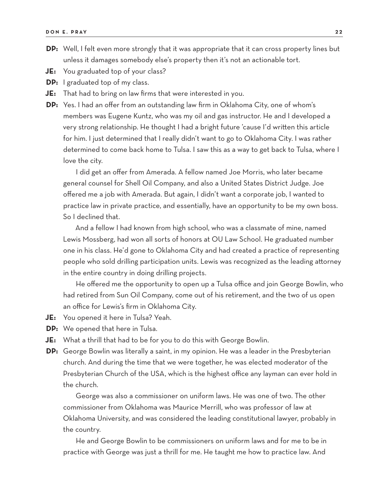- **DP:** Well, I felt even more strongly that it was appropriate that it can cross property lines but unless it damages somebody else's property then it's not an actionable tort.
- **JE:** You graduated top of your class?
- **DP:** I graduated top of my class.
- **JE:** That had to bring on law firms that were interested in you.
- **DP:** Yes. I had an offer from an outstanding law firm in Oklahoma City, one of whom's members was Eugene Kuntz, who was my oil and gas instructor. He and I developed a very strong relationship. He thought I had a bright future 'cause I'd written this article for him. I just determined that I really didn't want to go to Oklahoma City. I was rather determined to come back home to Tulsa. I saw this as a way to get back to Tulsa, where I love the city.

I did get an offer from Amerada. A fellow named Joe Morris, who later became general counsel for Shell Oil Company, and also a United States District Judge. Joe offered me a job with Amerada. But again, I didn't want a corporate job, I wanted to practice law in private practice, and essentially, have an opportunity to be my own boss. So I declined that.

And a fellow I had known from high school, who was a classmate of mine, named Lewis Mossberg, had won all sorts of honors at OU Law School. He graduated number one in his class. He'd gone to Oklahoma City and had created a practice of representing people who sold drilling participation units. Lewis was recognized as the leading attorney in the entire country in doing drilling projects.

He offered me the opportunity to open up a Tulsa office and join George Bowlin, who had retired from Sun Oil Company, come out of his retirement, and the two of us open an office for Lewis's firm in Oklahoma City.

- **JE:** You opened it here in Tulsa? Yeah.
- **DP:** We opened that here in Tulsa.
- **JE:** What a thrill that had to be for you to do this with George Bowlin.
- **DP:** George Bowlin was literally a saint, in my opinion. He was a leader in the Presbyterian church. And during the time that we were together, he was elected moderator of the Presbyterian Church of the USA, which is the highest office any layman can ever hold in the church.

George was also a commissioner on uniform laws. He was one of two. The other commissioner from Oklahoma was Maurice Merrill, who was professor of law at Oklahoma University, and was considered the leading constitutional lawyer, probably in the country.

He and George Bowlin to be commissioners on uniform laws and for me to be in practice with George was just a thrill for me. He taught me how to practice law. And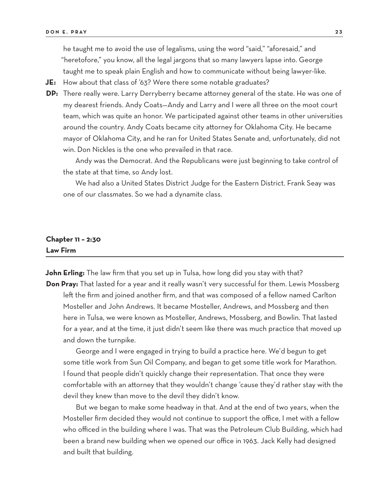he taught me to avoid the use of legalisms, using the word "said," "aforesaid," and "heretofore," you know, all the legal jargons that so many lawyers lapse into. George taught me to speak plain English and how to communicate without being lawyer-like.

- **JE:** How about that class of '63? Were there some notable graduates?
- **DP:** There really were. Larry Derryberry became attorney general of the state. He was one of my dearest friends. Andy Coats—Andy and Larry and I were all three on the moot court team, which was quite an honor. We participated against other teams in other universities around the country. Andy Coats became city attorney for Oklahoma City. He became mayor of Oklahoma City, and he ran for United States Senate and, unfortunately, did not win. Don Nickles is the one who prevailed in that race.

Andy was the Democrat. And the Republicans were just beginning to take control of the state at that time, so Andy lost.

We had also a United States District Judge for the Eastern District. Frank Seay was one of our classmates. So we had a dynamite class.

### **Chapter 11 – 2:30 Law Firm**

**John Erling:** The law firm that you set up in Tulsa, how long did you stay with that? **Don Pray:** That lasted for a year and it really wasn't very successful for them. Lewis Mossberg left the firm and joined another firm, and that was composed of a fellow named Carlton Mosteller and John Andrews. It became Mosteller, Andrews, and Mossberg and then here in Tulsa, we were known as Mosteller, Andrews, Mossberg, and Bowlin. That lasted for a year, and at the time, it just didn't seem like there was much practice that moved up and down the turnpike.

George and I were engaged in trying to build a practice here. We'd begun to get some title work from Sun Oil Company, and began to get some title work for Marathon. I found that people didn't quickly change their representation. That once they were comfortable with an attorney that they wouldn't change 'cause they'd rather stay with the devil they knew than move to the devil they didn't know.

But we began to make some headway in that. And at the end of two years, when the Mosteller firm decided they would not continue to support the office, I met with a fellow who officed in the building where I was. That was the Petroleum Club Building, which had been a brand new building when we opened our office in 1963. Jack Kelly had designed and built that building.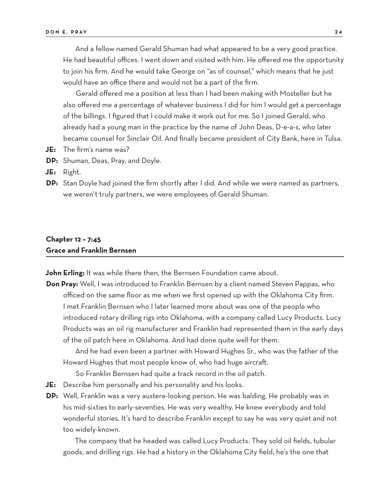And a fellow named Gerald Shuman had what appeared to be a very good practice. He had beautiful offices. I went down and visited with him. He offered me the opportunity to join his firm. And he would take George on "as of counsel," which means that he just would have an office there and would not be a part of the firm.

Gerald offered me a position at less than I had been making with Mosteller but he also offered me a percentage of whatever business I did for him I would get a percentage of the billings. I figured that I could make it work out for me. So I joined Gerald, who already had a young man in the practice by the name of John Deas, D-e-a-s, who later became counsel for Sinclair Oil. And finally became president of City Bank, here in Tulsa.

- **JE:** The firm's name was?
- **DP:** Shuman, Deas, Pray, and Doyle.

**JE:** Right.

**DP:** Stan Doyle had joined the firm shortly after I did. And while we were named as partners, we weren't truly partners, we were employees of Gerald Shuman.

### **Chapter 12 – 7:45 Grace and Franklin Bernsen**

**John Erling:** It was while there then, the Bernsen Foundation came about.

**Don Pray:** Well, I was introduced to Franklin Bernsen by a client named Steven Pappas, who officed on the same floor as me when we first opened up with the Oklahoma City firm. I met Franklin Bernsen who I later learned more about was one of the people who introduced rotary drilling rigs into Oklahoma, with a company called Lucy Products. Lucy Products was an oil rig manufacturer and Franklin had represented them in the early days of the oil patch here in Oklahoma. And had done quite well for them.

And he had even been a partner with Howard Hughes Sr., who was the father of the Howard Hughes that most people know of, who had huge aircraft.

So Franklin Bernsen had quite a track record in the oil patch.

- **JE:** Describe him personally and his personality and his looks.
- **DP:** Well, Franklin was a very austere-looking person. He was balding. He probably was in his mid-sixties to early-seventies. He was very wealthy. He knew everybody and told wonderful stories. It's hard to describe Franklin except to say he was very quiet and not too widely-known.

The company that he headed was called Lucy Products. They sold oil fields, tubular goods, and drilling rigs. He had a history in the Oklahoma City field, he's the one that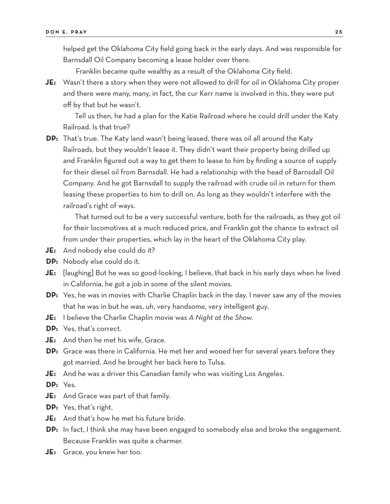helped get the Oklahoma City field going back in the early days. And was responsible for Barnsdall Oil Company becoming a lease holder over there.

Franklin became quite wealthy as a result of the Oklahoma City field.

**JE:** Wasn't there a story when they were not allowed to drill for oil in Oklahoma City proper and there were many, many, in fact, the cur Kerr name is involved in this, they were put off by that but he wasn't.

Tell us then, he had a plan for the Katie Railroad where he could drill under the Katy Railroad. Is that true?

**DP:** That's true. The Katy land wasn't being leased, there was oil all around the Katy Railroads, but they wouldn't lease it. They didn't want their property being drilled up and Franklin figured out a way to get them to lease to him by finding a source of supply for their diesel oil from Barnsdall. He had a relationship with the head of Barnsdall Oil Company. And he got Barnsdall to supply the railroad with crude oil in return for them leasing these properties to him to drill on. As long as they wouldn't interfere with the railroad's right of ways.

That turned out to be a very successful venture, both for the railroads, as they got oil for their locomotives at a much reduced price, and Franklin got the chance to extract oil from under their properties, which lay in the heart of the Oklahoma City play.

- **JE:** And nobody else could do it?
- **DP:** Nobody else could do it.
- **JE:** [laughing] But he was so good-looking, I believe, that back in his early days when he lived in California, he got a job in some of the silent movies.
- **DP:** Yes, he was in movies with Charlie Chaplin back in the day. I never saw any of the movies that he was in but he was, uh, very handsome, very intelligent guy.
- **JE:** I believe the Charlie Chaplin movie was *A Night at the Show*.
- **DP:** Yes, that's correct.
- **JE:** And then he met his wife, Grace.
- **DP:** Grace was there in California. He met her and wooed her for several years before they got married. And he brought her back here to Tulsa.
- **JE:** And he was a driver this Canadian family who was visiting Los Angeles.

**DP:** Yes.

- **JE:** And Grace was part of that family.
- **DP:** Yes, that's right.
- **JE:** And that's how he met his future bride.
- **DP:** In fact, I think she may have been engaged to somebody else and broke the engagement. Because Franklin was quite a charmer.
- **JE:** Grace, you knew her too.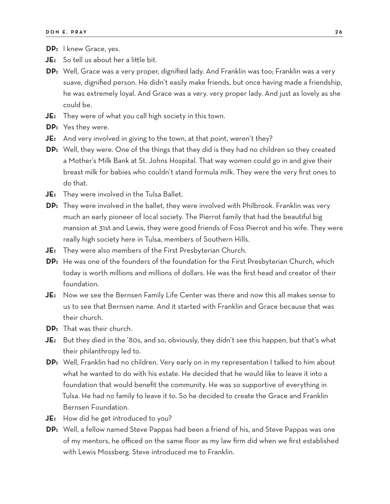- **DP:** I knew Grace, yes.
- **JE:** So tell us about her a little bit.
- **DP:** Well, Grace was a very proper, dignified lady. And Franklin was too; Franklin was a very suave, dignified person. He didn't easily make friends, but once having made a friendship, he was extremely loyal. And Grace was a very. very proper lady. And just as lovely as she could be.
- **JE:** They were of what you call high society in this town.
- **DP:** Yes they were.
- **JE:** And very involved in giving to the town, at that point, weren't they?
- **DP:** Well, they were. One of the things that they did is they had no children so they created a Mother's Milk Bank at St. Johns Hospital. That way women could go in and give their breast milk for babies who couldn't stand formula milk. They were the very first ones to do that.
- **JE:** They were involved in the Tulsa Ballet.
- **DP:** They were involved in the ballet, they were involved with Philbrook. Franklin was very much an early pioneer of local society. The Pierrot family that had the beautiful big mansion at 31st and Lewis, they were good friends of Foss Pierrot and his wife. They were really high society here in Tulsa, members of Southern Hills.
- **JE:** They were also members of the First Presbyterian Church.
- **DP:** He was one of the founders of the foundation for the First Presbyterian Church, which today is worth millions and millions of dollars. He was the first head and creator of their foundation.
- **JE:** Now we see the Bernsen Family Life Center was there and now this all makes sense to us to see that Bernsen name. And it started with Franklin and Grace because that was their church.
- **DP:** That was their church.
- **JE:** But they died in the '80s, and so, obviously, they didn't see this happen, but that's what their philanthropy led to.
- **DP:** Well, Franklin had no children. Very early on in my representation I talked to him about what he wanted to do with his estate. He decided that he would like to leave it into a foundation that would benefit the community. He was so supportive of everything in Tulsa. He had no family to leave it to. So he decided to create the Grace and Franklin Bernsen Foundation.
- **JE:** How did he get introduced to you?
- **DP:** Well, a fellow named Steve Pappas had been a friend of his, and Steve Pappas was one of my mentors, he officed on the same floor as my law firm did when we first established with Lewis Mossberg. Steve introduced me to Franklin.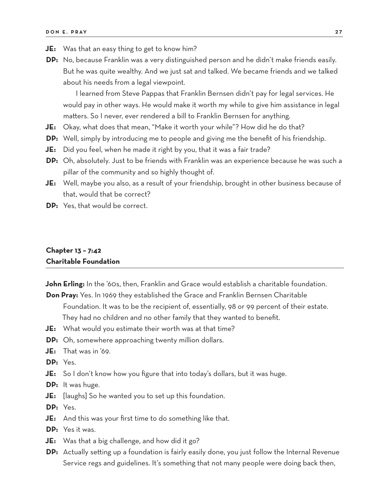- **JE:** Was that an easy thing to get to know him?
- **DP:** No, because Franklin was a very distinguished person and he didn't make friends easily. But he was quite wealthy. And we just sat and talked. We became friends and we talked about his needs from a legal viewpoint.

I learned from Steve Pappas that Franklin Bernsen didn't pay for legal services. He would pay in other ways. He would make it worth my while to give him assistance in legal matters. So I never, ever rendered a bill to Franklin Bernsen for anything.

- **JE:** Okay, what does that mean, "Make it worth your while"? How did he do that?
- **DP:** Well, simply by introducing me to people and giving me the benefit of his friendship.
- **JE:** Did you feel, when he made it right by you, that it was a fair trade?
- **DP:** Oh, absolutely. Just to be friends with Franklin was an experience because he was such a pillar of the community and so highly thought of.
- **JE:** Well, maybe you also, as a result of your friendship, brought in other business because of that, would that be correct?
- **DP:** Yes, that would be correct.

### **Chapter 13 – 7:42 Charitable Foundation**

**John Erling:** In the '60s, then, Franklin and Grace would establish a charitable foundation.

- **Don Pray:** Yes. In 1969 they established the Grace and Franklin Bernsen Charitable Foundation. It was to be the recipient of, essentially, 98 or 99 percent of their estate. They had no children and no other family that they wanted to benefit.
- **JE:** What would you estimate their worth was at that time?
- **DP:** Oh, somewhere approaching twenty million dollars.
- **JE:** That was in '69.

**DP:** Yes.

- **JE:** So I don't know how you figure that into today's dollars, but it was huge.
- **DP:** It was huge.
- **JE:** [laughs] So he wanted you to set up this foundation.
- **DP:** Yes.
- **JE:** And this was your first time to do something like that.
- **DP:** Yes it was.
- **JE:** Was that a big challenge, and how did it go?
- **DP:** Actually setting up a foundation is fairly easily done, you just follow the Internal Revenue Service regs and guidelines. It's something that not many people were doing back then,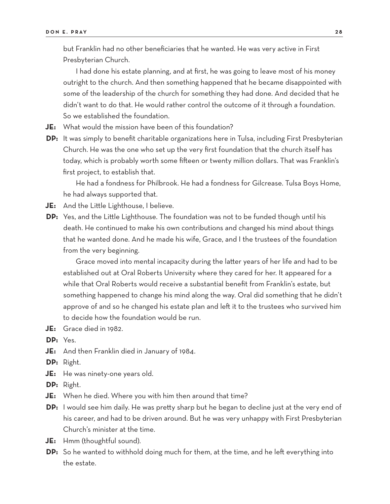but Franklin had no other beneficiaries that he wanted. He was very active in First Presbyterian Church.

I had done his estate planning, and at first, he was going to leave most of his money outright to the church. And then something happened that he became disappointed with some of the leadership of the church for something they had done. And decided that he didn't want to do that. He would rather control the outcome of it through a foundation. So we established the foundation.

**JE:** What would the mission have been of this foundation?

**DP:** It was simply to benefit charitable organizations here in Tulsa, including First Presbyterian Church. He was the one who set up the very first foundation that the church itself has today, which is probably worth some fifteen or twenty million dollars. That was Franklin's first project, to establish that.

He had a fondness for Philbrook. He had a fondness for Gilcrease. Tulsa Boys Home, he had always supported that.

- **JE:** And the Little Lighthouse, I believe.
- **DP:** Yes, and the Little Lighthouse. The foundation was not to be funded though until his death. He continued to make his own contributions and changed his mind about things that he wanted done. And he made his wife, Grace, and I the trustees of the foundation from the very beginning.

Grace moved into mental incapacity during the latter years of her life and had to be established out at Oral Roberts University where they cared for her. It appeared for a while that Oral Roberts would receive a substantial benefit from Franklin's estate, but something happened to change his mind along the way. Oral did something that he didn't approve of and so he changed his estate plan and left it to the trustees who survived him to decide how the foundation would be run.

**JE:** Grace died in 1982.

**DP:** Yes.

**JE:** And then Franklin died in January of 1984.

**DP:** Right.

**JE:** He was ninety-one years old.

**DP:** Right.

- **JE:** When he died. Where you with him then around that time?
- **DP:** I would see him daily. He was pretty sharp but he began to decline just at the very end of his career, and had to be driven around. But he was very unhappy with First Presbyterian Church's minister at the time.
- **JE:** Hmm (thoughtful sound).
- **DP:** So he wanted to withhold doing much for them, at the time, and he left everything into the estate.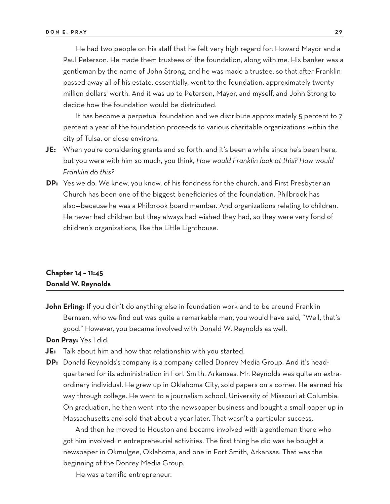He had two people on his staff that he felt very high regard for: Howard Mayor and a Paul Peterson. He made them trustees of the foundation, along with me. His banker was a gentleman by the name of John Strong, and he was made a trustee, so that after Franklin passed away all of his estate, essentially, went to the foundation, approximately twenty million dollars' worth. And it was up to Peterson, Mayor, and myself, and John Strong to decide how the foundation would be distributed.

It has become a perpetual foundation and we distribute approximately 5 percent to 7 percent a year of the foundation proceeds to various charitable organizations within the city of Tulsa, or close environs.

- **JE:** When you're considering grants and so forth, and it's been a while since he's been here, but you were with him so much, you think, *How would Franklin look at this? How would Franklin do this?*
- **DP:** Yes we do. We knew, you know, of his fondness for the church, and First Presbyterian Church has been one of the biggest beneficiaries of the foundation. Philbrook has also—because he was a Philbrook board member. And organizations relating to children. He never had children but they always had wished they had, so they were very fond of children's organizations, like the Little Lighthouse.

### **Chapter 14 – 11:45 Donald W. Reynolds**

**John Erling:** If you didn't do anything else in foundation work and to be around Franklin Bernsen, who we find out was quite a remarkable man, you would have said, "Well, that's good." However, you became involved with Donald W. Reynolds as well.

**Don Pray:** Yes I did.

- **JE:** Talk about him and how that relationship with you started.
- **DP:** Donald Reynolds's company is a company called Donrey Media Group. And it's headquartered for its administration in Fort Smith, Arkansas. Mr. Reynolds was quite an extraordinary individual. He grew up in Oklahoma City, sold papers on a corner. He earned his way through college. He went to a journalism school, University of Missouri at Columbia. On graduation, he then went into the newspaper business and bought a small paper up in Massachusetts and sold that about a year later. That wasn't a particular success.

And then he moved to Houston and became involved with a gentleman there who got him involved in entrepreneurial activities. The first thing he did was he bought a newspaper in Okmulgee, Oklahoma, and one in Fort Smith, Arkansas. That was the beginning of the Donrey Media Group.

He was a terrific entrepreneur.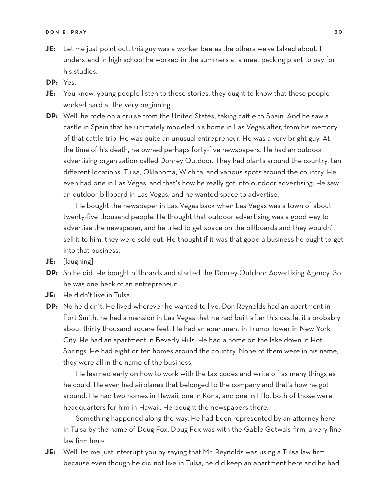- **JE:** Let me just point out, this guy was a worker bee as the others we've talked about. I understand in high school he worked in the summers at a meat packing plant to pay for his studies.
- **DP:** Yes.
- **JE:** You know, young people listen to these stories, they ought to know that these people worked hard at the very beginning.
- **DP:** Well, he rode on a cruise from the United States, taking cattle to Spain. And he saw a castle in Spain that he ultimately modeled his home in Las Vegas after, from his memory of that cattle trip. He was quite an unusual entrepreneur. He was a very bright guy. At the time of his death, he owned perhaps forty-five newspapers. He had an outdoor advertising organization called Donrey Outdoor. They had plants around the country, ten different locations: Tulsa, Oklahoma, Wichita, and various spots around the country. He even had one in Las Vegas, and that's how he really got into outdoor advertising. He saw an outdoor billboard in Las Vegas, and he wanted space to advertise.

He bought the newspaper in Las Vegas back when Las Vegas was a town of about twenty-five thousand people. He thought that outdoor advertising was a good way to advertise the newspaper, and he tried to get space on the billboards and they wouldn't sell it to him, they were sold out. He thought if it was that good a business he ought to get into that business.

- **JE:** [laughing]
- **DP:** So he did. He bought billboards and started the Donrey Outdoor Advertising Agency. So he was one heck of an entrepreneur.
- **JE:** He didn't live in Tulsa.
- **DP:** No he didn't. He lived wherever he wanted to live. Don Reynolds had an apartment in Fort Smith, he had a mansion in Las Vegas that he had built after this castle, it's probably about thirty thousand square feet. He had an apartment in Trump Tower in New York City. He had an apartment in Beverly Hills. He had a home on the lake down in Hot Springs. He had eight or ten homes around the country. None of them were in his name, they were all in the name of the business.

He learned early on how to work with the tax codes and write off as many things as he could. He even had airplanes that belonged to the company and that's how he got around. He had two homes in Hawaii, one in Kona, and one in Hilo, both of those were headquarters for him in Hawaii. He bought the newspapers there.

Something happened along the way. He had been represented by an attorney here in Tulsa by the name of Doug Fox. Doug Fox was with the Gable Gotwals firm, a very fine law firm here.

**JE:** Well, let me just interrupt you by saying that Mr. Reynolds was using a Tulsa law firm because even though he did not live in Tulsa, he did keep an apartment here and he had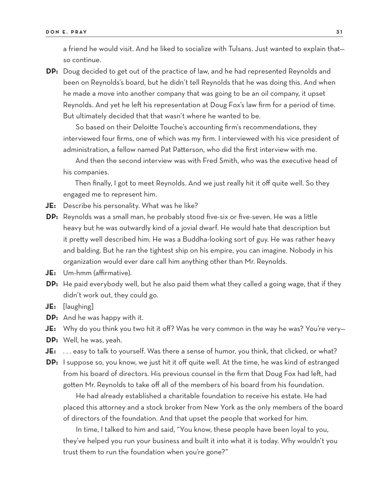a friend he would visit. And he liked to socialize with Tulsans. Just wanted to explain that so continue.

**DP:** Doug decided to get out of the practice of law, and he had represented Reynolds and been on Reynolds's board, but he didn't tell Reynolds that he was doing this. And when he made a move into another company that was going to be an oil company, it upset Reynolds. And yet he left his representation at Doug Fox's law firm for a period of time. But ultimately decided that that wasn't where he wanted to be.

So based on their Deloitte Touche's accounting firm's recommendations, they interviewed four firms, one of which was my firm. I interviewed with his vice president of administration, a fellow named Pat Patterson, who did the first interview with me.

And then the second interview was with Fred Smith, who was the executive head of his companies.

Then finally, I got to meet Reynolds. And we just really hit it off quite well. So they engaged me to represent him.

- **JE:** Describe his personality. What was he like?
- **DP:** Reynolds was a small man, he probably stood five-six or five-seven. He was a little heavy but he was outwardly kind of a jovial dwarf. He would hate that description but it pretty well described him. He was a Buddha-looking sort of guy. He was rather heavy and balding. But he ran the tightest ship on his empire, you can imagine. Nobody in his organization would ever dare call him anything other than Mr. Reynolds.
- **JE:** Um-hmm (affirmative).
- **DP:** He paid everybody well, but he also paid them what they called a going wage, that if they didn't work out, they could go.
- **JE:** [laughing]
- **DP:** And he was happy with it.
- **JE:** Why do you think you two hit it off? Was he very common in the way he was? You're very—
- **DP:** Well, he was, yeah.
- **JE:** . . . easy to talk to yourself. Was there a sense of humor, you think, that clicked, or what?
- **DP:** I suppose so, you know, we just hit it off quite well. At the time, he was kind of estranged from his board of directors. His previous counsel in the firm that Doug Fox had left, had gotten Mr. Reynolds to take off all of the members of his board from his foundation.

He had already established a charitable foundation to receive his estate. He had placed this attorney and a stock broker from New York as the only members of the board of directors of the foundation. And that upset the people that worked for him.

In time, I talked to him and said, "You know, these people have been loyal to you, they've helped you run your business and built it into what it is today. Why wouldn't you trust them to run the foundation when you're gone?"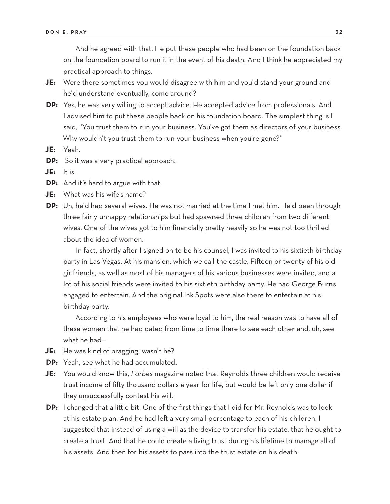And he agreed with that. He put these people who had been on the foundation back on the foundation board to run it in the event of his death. And I think he appreciated my practical approach to things.

- **JE:** Were there sometimes you would disagree with him and you'd stand your ground and he'd understand eventually, come around?
- **DP:** Yes, he was very willing to accept advice. He accepted advice from professionals. And I advised him to put these people back on his foundation board. The simplest thing is I said, "You trust them to run your business. You've got them as directors of your business. Why wouldn't you trust them to run your business when you're gone?"
- **JE:** Yeah.
- **DP:** So it was a very practical approach.
- **JE:** It is.
- **DP:** And it's hard to argue with that.
- **JE:** What was his wife's name?
- **DP:** Uh, he'd had several wives. He was not married at the time I met him. He'd been through three fairly unhappy relationships but had spawned three children from two different wives. One of the wives got to him financially pretty heavily so he was not too thrilled about the idea of women.

In fact, shortly after I signed on to be his counsel, I was invited to his sixtieth birthday party in Las Vegas. At his mansion, which we call the castle. Fifteen or twenty of his old girlfriends, as well as most of his managers of his various businesses were invited, and a lot of his social friends were invited to his sixtieth birthday party. He had George Burns engaged to entertain. And the original Ink Spots were also there to entertain at his birthday party.

According to his employees who were loyal to him, the real reason was to have all of these women that he had dated from time to time there to see each other and, uh, see what he had—

- **JE:** He was kind of bragging, wasn't he?
- **DP:** Yeah, see what he had accumulated.
- **JE:** You would know this, *Forbes* magazine noted that Reynolds three children would receive trust income of fifty thousand dollars a year for life, but would be left only one dollar if they unsuccessfully contest his will.
- **DP:** I changed that a little bit. One of the first things that I did for Mr. Reynolds was to look at his estate plan. And he had left a very small percentage to each of his children. I suggested that instead of using a will as the device to transfer his estate, that he ought to create a trust. And that he could create a living trust during his lifetime to manage all of his assets. And then for his assets to pass into the trust estate on his death.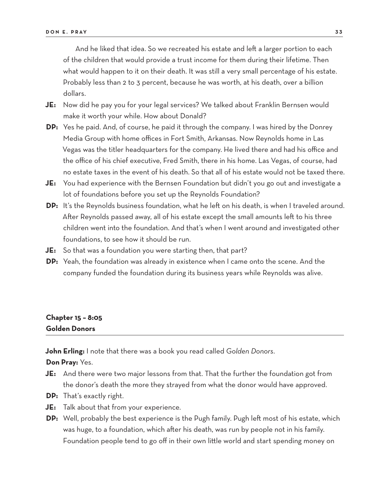And he liked that idea. So we recreated his estate and left a larger portion to each of the children that would provide a trust income for them during their lifetime. Then what would happen to it on their death. It was still a very small percentage of his estate. Probably less than 2 to 3 percent, because he was worth, at his death, over a billion dollars.

- **JE:** Now did he pay you for your legal services? We talked about Franklin Bernsen would make it worth your while. How about Donald?
- **DP:** Yes he paid. And, of course, he paid it through the company. I was hired by the Donrey Media Group with home offices in Fort Smith, Arkansas. Now Reynolds home in Las Vegas was the titler headquarters for the company. He lived there and had his office and the office of his chief executive, Fred Smith, there in his home. Las Vegas, of course, had no estate taxes in the event of his death. So that all of his estate would not be taxed there.
- **JE:** You had experience with the Bernsen Foundation but didn't you go out and investigate a lot of foundations before you set up the Reynolds Foundation?
- **DP:** It's the Reynolds business foundation, what he left on his death, is when I traveled around. After Reynolds passed away, all of his estate except the small amounts left to his three children went into the foundation. And that's when I went around and investigated other foundations, to see how it should be run.
- **JE:** So that was a foundation you were starting then, that part?
- **DP:** Yeah, the foundation was already in existence when I came onto the scene. And the company funded the foundation during its business years while Reynolds was alive.

## **Chapter 15 – 8:05 Golden Donors**

**John Erling:** I note that there was a book you read called *Golden Donors*.

**Don Pray:** Yes.

- **JE:** And there were two major lessons from that. That the further the foundation got from the donor's death the more they strayed from what the donor would have approved.
- **DP:** That's exactly right.
- **JE:** Talk about that from your experience.
- **DP:** Well, probably the best experience is the Pugh family. Pugh left most of his estate, which was huge, to a foundation, which after his death, was run by people not in his family. Foundation people tend to go off in their own little world and start spending money on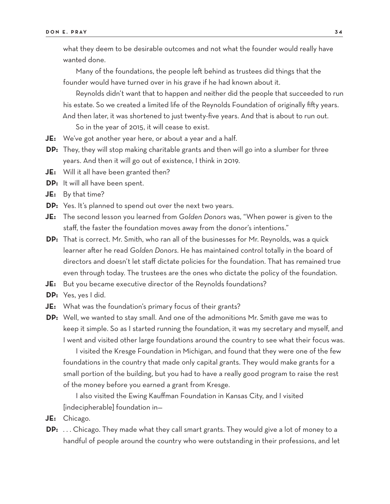what they deem to be desirable outcomes and not what the founder would really have wanted done.

Many of the foundations, the people left behind as trustees did things that the founder would have turned over in his grave if he had known about it.

Reynolds didn't want that to happen and neither did the people that succeeded to run his estate. So we created a limited life of the Reynolds Foundation of originally fifty years. And then later, it was shortened to just twenty-five years. And that is about to run out.

So in the year of 2015, it will cease to exist.

- **JE:** We've got another year here, or about a year and a half.
- **DP:** They, they will stop making charitable grants and then will go into a slumber for three years. And then it will go out of existence, I think in 2019.
- **JE:** Will it all have been granted then?
- **DP:** It will all have been spent.
- **JE:** By that time?
- **DP:** Yes. It's planned to spend out over the next two years.
- **JE:** The second lesson you learned from *Golden Donors* was, "When power is given to the staff, the faster the foundation moves away from the donor's intentions."
- **DP:** That is correct. Mr. Smith, who ran all of the businesses for Mr. Reynolds, was a quick learner after he read *Golden Donors*. He has maintained control totally in the board of directors and doesn't let staff dictate policies for the foundation. That has remained true even through today. The trustees are the ones who dictate the policy of the foundation.
- **JE:** But you became executive director of the Reynolds foundations?
- **DP:** Yes, yes I did.
- **JE:** What was the foundation's primary focus of their grants?
- **DP:** Well, we wanted to stay small. And one of the admonitions Mr. Smith gave me was to keep it simple. So as I started running the foundation, it was my secretary and myself, and I went and visited other large foundations around the country to see what their focus was.

I visited the Kresge Foundation in Michigan, and found that they were one of the few foundations in the country that made only capital grants. They would make grants for a small portion of the building, but you had to have a really good program to raise the rest of the money before you earned a grant from Kresge.

I also visited the Ewing Kauffman Foundation in Kansas City, and I visited [indecipherable] foundation in—

- **JE:** Chicago.
- **DP:** . . . Chicago. They made what they call smart grants. They would give a lot of money to a handful of people around the country who were outstanding in their professions, and let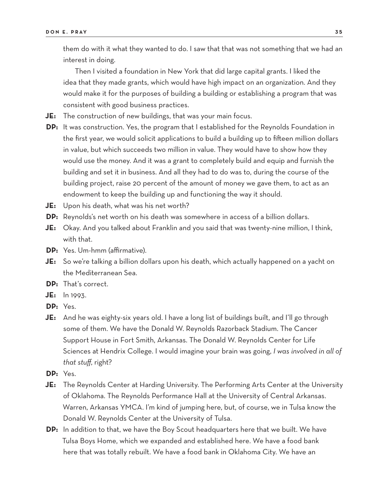them do with it what they wanted to do. I saw that that was not something that we had an interest in doing.

Then I visited a foundation in New York that did large capital grants. I liked the idea that they made grants, which would have high impact on an organization. And they would make it for the purposes of building a building or establishing a program that was consistent with good business practices.

- **JE:** The construction of new buildings, that was your main focus.
- **DP:** It was construction. Yes, the program that I established for the Reynolds Foundation in the first year, we would solicit applications to build a building up to fifteen million dollars in value, but which succeeds two million in value. They would have to show how they would use the money. And it was a grant to completely build and equip and furnish the building and set it in business. And all they had to do was to, during the course of the building project, raise 20 percent of the amount of money we gave them, to act as an endowment to keep the building up and functioning the way it should.
- **JE:** Upon his death, what was his net worth?
- **DP:** Reynolds's net worth on his death was somewhere in access of a billion dollars.
- **JE:** Okay. And you talked about Franklin and you said that was twenty-nine million, I think, with that.
- **DP:** Yes. Um-hmm (affirmative).
- **JE:** So we're talking a billion dollars upon his death, which actually happened on a yacht on the Mediterranean Sea.
- **DP:** That's correct.
- **JE:** In 1993.
- **DP:** Yes.
- **JE:** And he was eighty-six years old. I have a long list of buildings built, and I'll go through some of them. We have the Donald W. Reynolds Razorback Stadium. The Cancer Support House in Fort Smith, Arkansas. The Donald W. Reynolds Center for Life Sciences at Hendrix College. I would imagine your brain was going, *I was involved in all of that stuff*, right?
- **DP:** Yes.
- **JE:** The Reynolds Center at Harding University. The Performing Arts Center at the University of Oklahoma. The Reynolds Performance Hall at the University of Central Arkansas. Warren, Arkansas YMCA. I'm kind of jumping here, but, of course, we in Tulsa know the Donald W. Reynolds Center at the University of Tulsa.
- **DP:** In addition to that, we have the Boy Scout headquarters here that we built. We have Tulsa Boys Home, which we expanded and established here. We have a food bank here that was totally rebuilt. We have a food bank in Oklahoma City. We have an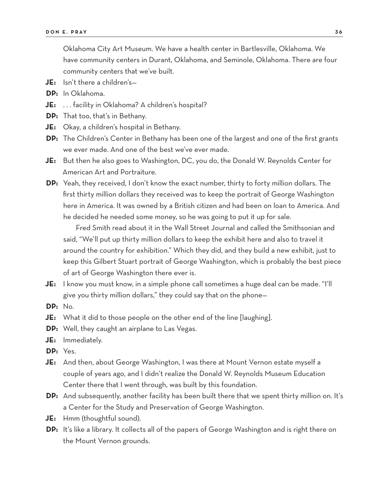Oklahoma City Art Museum. We have a health center in Bartlesville, Oklahoma. We have community centers in Durant, Oklahoma, and Seminole, Oklahoma. There are four community centers that we've built.

- **JE:** Isn't there a children's—
- **DP:** In Oklahoma.
- **JE:** . . . facility in Oklahoma? A children's hospital?
- **DP:** That too, that's in Bethany.
- **JE:** Okay, a children's hospital in Bethany.
- **DP:** The Children's Center in Bethany has been one of the largest and one of the first grants we ever made. And one of the best we've ever made.
- **JE:** But then he also goes to Washington, DC, you do, the Donald W. Reynolds Center for American Art and Portraiture.
- **DP:** Yeah, they received, I don't know the exact number, thirty to forty million dollars. The first thirty million dollars they received was to keep the portrait of George Washington here in America. It was owned by a British citizen and had been on loan to America. And he decided he needed some money, so he was going to put it up for sale.

Fred Smith read about it in the Wall Street Journal and called the Smithsonian and said, "We'll put up thirty million dollars to keep the exhibit here and also to travel it around the country for exhibition." Which they did, and they build a new exhibit, just to keep this Gilbert Stuart portrait of George Washington, which is probably the best piece of art of George Washington there ever is.

- **JE:** I know you must know, in a simple phone call sometimes a huge deal can be made. "I'll give you thirty million dollars," they could say that on the phone—
- **DP:** No.
- **JE:** What it did to those people on the other end of the line [laughing].
- **DP:** Well, they caught an airplane to Las Vegas.
- **JE:** Immediately.
- **DP:** Yes.
- **JE:** And then, about George Washington, I was there at Mount Vernon estate myself a couple of years ago, and I didn't realize the Donald W. Reynolds Museum Education Center there that I went through, was built by this foundation.
- **DP:** And subsequently, another facility has been built there that we spent thirty million on. It's a Center for the Study and Preservation of George Washington.
- **JE:** Hmm (thoughtful sound).
- **DP:** It's like a library. It collects all of the papers of George Washington and is right there on the Mount Vernon grounds.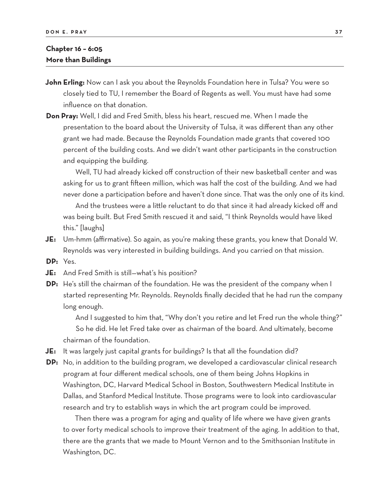# **Chapter 16 – 6:05 More than Buildings**

- **John Erling:** Now can I ask you about the Reynolds Foundation here in Tulsa? You were so closely tied to TU, I remember the Board of Regents as well. You must have had some influence on that donation.
- **Don Pray:** Well, I did and Fred Smith, bless his heart, rescued me. When I made the presentation to the board about the University of Tulsa, it was different than any other grant we had made. Because the Reynolds Foundation made grants that covered 100 percent of the building costs. And we didn't want other participants in the construction and equipping the building.

Well, TU had already kicked off construction of their new basketball center and was asking for us to grant fifteen million, which was half the cost of the building. And we had never done a participation before and haven't done since. That was the only one of its kind.

And the trustees were a little reluctant to do that since it had already kicked off and was being built. But Fred Smith rescued it and said, "I think Reynolds would have liked this." [laughs]

- **JE:** Um-hmm (affirmative). So again, as you're making these grants, you knew that Donald W. Reynolds was very interested in building buildings. And you carried on that mission.
- **DP:** Yes.
- **JE:** And Fred Smith is still—what's his position?
- **DP:** He's still the chairman of the foundation. He was the president of the company when I started representing Mr. Reynolds. Reynolds finally decided that he had run the company long enough.

And I suggested to him that, "Why don't you retire and let Fred run the whole thing?" So he did. He let Fred take over as chairman of the board. And ultimately, become chairman of the foundation.

- **JE:** It was largely just capital grants for buildings? Is that all the foundation did?
- **DP:** No, in addition to the building program, we developed a cardiovascular clinical research program at four different medical schools, one of them being Johns Hopkins in Washington, DC, Harvard Medical School in Boston, Southwestern Medical Institute in Dallas, and Stanford Medical Institute. Those programs were to look into cardiovascular research and try to establish ways in which the art program could be improved.

Then there was a program for aging and quality of life where we have given grants to over forty medical schools to improve their treatment of the aging. In addition to that, there are the grants that we made to Mount Vernon and to the Smithsonian Institute in Washington, DC.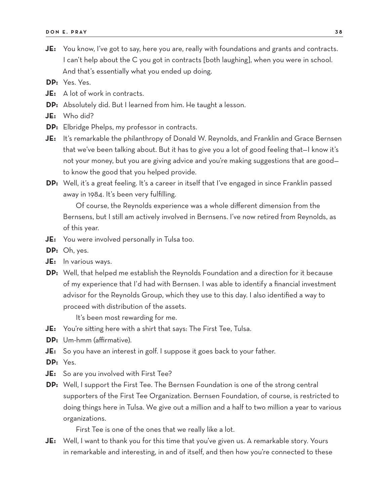- **JE:** You know, I've got to say, here you are, really with foundations and grants and contracts. I can't help about the C you got in contracts [both laughing], when you were in school. And that's essentially what you ended up doing.
- **DP:** Yes. Yes.
- **JE:** A lot of work in contracts.
- **DP:** Absolutely did. But I learned from him. He taught a lesson.
- **JE:** Who did?
- **DP:** Elbridge Phelps, my professor in contracts.
- **JE:** It's remarkable the philanthropy of Donald W. Reynolds, and Franklin and Grace Bernsen that we've been talking about. But it has to give you a lot of good feeling that—I know it's not your money, but you are giving advice and you're making suggestions that are good to know the good that you helped provide.
- **DP:** Well, it's a great feeling. It's a career in itself that I've engaged in since Franklin passed away in 1984. It's been very fulfilling.

Of course, the Reynolds experience was a whole different dimension from the Bernsens, but I still am actively involved in Bernsens. I've now retired from Reynolds, as of this year.

- **JE:** You were involved personally in Tulsa too.
- **DP:** Oh, yes.
- **JE:** In various ways.
- **DP:** Well, that helped me establish the Reynolds Foundation and a direction for it because of my experience that I'd had with Bernsen. I was able to identify a financial investment advisor for the Reynolds Group, which they use to this day. I also identified a way to proceed with distribution of the assets.

It's been most rewarding for me.

- **JE:** You're sitting here with a shirt that says: The First Tee, Tulsa.
- **DP:** Um-hmm (affirmative).
- **JE:** So you have an interest in golf. I suppose it goes back to your father.
- **DP:** Yes.
- **JE:** So are you involved with First Tee?
- **DP:** Well, I support the First Tee. The Bernsen Foundation is one of the strong central supporters of the First Tee Organization. Bernsen Foundation, of course, is restricted to doing things here in Tulsa. We give out a million and a half to two million a year to various organizations.

First Tee is one of the ones that we really like a lot.

**JE:** Well, I want to thank you for this time that you've given us. A remarkable story. Yours in remarkable and interesting, in and of itself, and then how you're connected to these